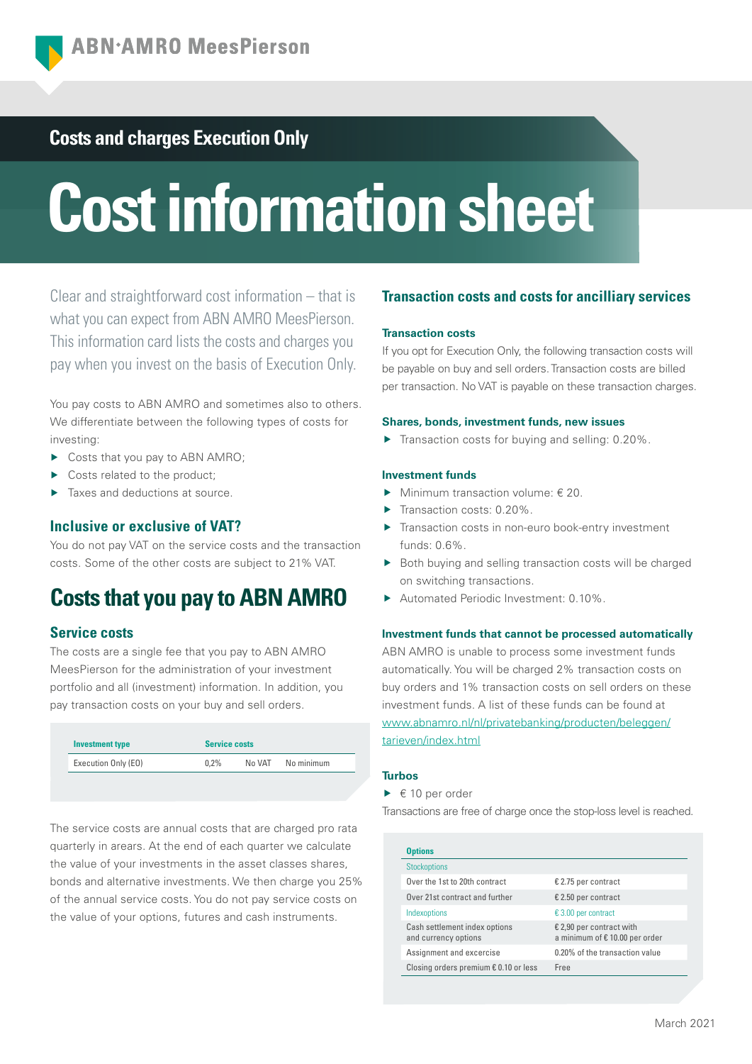# **Costs and charges Execution Only**

# **Cost information sheet**

Clear and straightforward cost information – that is what you can expect from ABN AMRO MeesPierson. This information card lists the costs and charges you pay when you invest on the basis of Execution Only.

You pay costs to ABN AMRO and sometimes also to others. We differentiate between the following types of costs for investing:

- ▶ Costs that you pay to ABN AMRO;
- ▶ Costs related to the product:
- Taxes and deductions at source.

# **Inclusive or exclusive of VAT?**

You do not pay VAT on the service costs and the transaction costs. Some of the other costs are subject to 21% VAT.

# **Costs that you pay to ABN AMRO**

## **Service costs**

The costs are a single fee that you pay to ABN AMRO MeesPierson for the administration of your investment portfolio and all (investment) information. In addition, you pay transaction costs on your buy and sell orders.

| <b>Investment type</b> | <b>Service costs</b> |  |                   |
|------------------------|----------------------|--|-------------------|
| Execution Only (EO)    | 0.2%                 |  | No VAT No minimum |

The service costs are annual costs that are charged pro rata quarterly in arears. At the end of each quarter we calculate the value of your investments in the asset classes shares, bonds and alternative investments. We then charge you 25% of the annual service costs. You do not pay service costs on the value of your options, futures and cash instruments.

# **Transaction costs and costs for ancilliary services**

#### **Transaction costs**

If you opt for Execution Only, the following transaction costs will be payable on buy and sell orders. Transaction costs are billed per transaction. No VAT is payable on these transaction charges.

#### **Shares, bonds, investment funds, new issues**

 $\blacktriangleright$  Transaction costs for buying and selling: 0.20%.

#### **Investment funds**

- Minimum transaction volume:  $\epsilon$  20.
- Transaction costs: 0.20%.
- ▶ Transaction costs in non-euro book-entry investment funds: 0.6%.
- ▶ Both buying and selling transaction costs will be charged on switching transactions.
- Automated Periodic Investment: 0.10%.

#### **Investment funds that cannot be processed automatically**

ABN AMRO is unable to process some investment funds automatically. You will be charged 2% transaction costs on buy orders and 1% transaction costs on sell orders on these investment funds. A list of these funds can be found at [www.abnamro.nl/nl/privatebanking/producten/beleggen/](https://www.abnamro.nl/nl/privatebanking/beleggen/index.html) [tarieven/index.html](https://www.abnamro.nl/nl/privatebanking/beleggen/index.html)

#### **Turbos**

 $\blacktriangleright$   $\in$  10 per order

Transactions are free of charge once the stop-loss level is reached.

| <b>Options</b>                                        |                                                           |  |
|-------------------------------------------------------|-----------------------------------------------------------|--|
| <b>Stockoptions</b>                                   |                                                           |  |
| Over the 1st to 20th contract                         | € 2.75 per contract                                       |  |
| Over 21st contract and further                        | € 2.50 per contract                                       |  |
| Indexoptions                                          | € 3.00 per contract                                       |  |
| Cash settlement index options<br>and currency options | € 2,90 per contract with<br>a minimum of €10.00 per order |  |
| Assignment and excercise                              | 0.20% of the transaction value                            |  |
| Closing orders premium $\epsilon$ 0.10 or less        | Free                                                      |  |